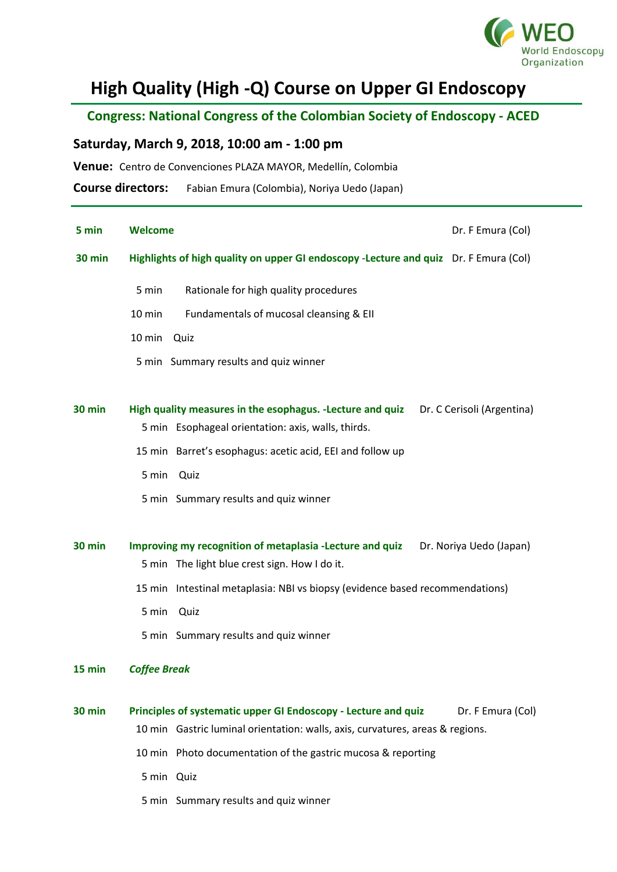

## **High Quality (High -Q) Course on Upper GI Endoscopy**

 **Congress: National Congress of the Colombian Society of Endoscopy - ACED**

## **Saturday, March 9, 2018, 10:00 am - 1:00 pm**

**Venue:** Centro de Convenciones PLAZA MAYOR, Medellín, Colombia

**Course directors:** Fabian Emura (Colombia), Noriya Uedo (Japan)

| 5 min         | <b>Welcome</b><br>Dr. F Emura (Col)                                                                                                                                  |
|---------------|----------------------------------------------------------------------------------------------------------------------------------------------------------------------|
| <b>30 min</b> | Highlights of high quality on upper GI endoscopy -Lecture and quiz Dr. F Emura (Col)                                                                                 |
|               | Rationale for high quality procedures<br>5 min                                                                                                                       |
|               | 10 min<br>Fundamentals of mucosal cleansing & EII                                                                                                                    |
|               | 10 min<br>Quiz                                                                                                                                                       |
|               | 5 min Summary results and quiz winner                                                                                                                                |
| <b>30 min</b> | High quality measures in the esophagus. - Lecture and quiz<br>Dr. C Cerisoli (Argentina)<br>5 min Esophageal orientation: axis, walls, thirds.                       |
|               | 15 min Barret's esophagus: acetic acid, EEI and follow up                                                                                                            |
|               | 5 min<br>Quiz                                                                                                                                                        |
|               | 5 min Summary results and quiz winner                                                                                                                                |
| <b>30 min</b> | Improving my recognition of metaplasia -Lecture and quiz<br>Dr. Noriya Uedo (Japan)<br>5 min The light blue crest sign. How I do it.                                 |
|               | 15 min Intestinal metaplasia: NBI vs biopsy (evidence based recommendations)                                                                                         |
|               | 5 min<br>Quiz                                                                                                                                                        |
|               | 5 min Summary results and quiz winner                                                                                                                                |
| 15 min        | <b>Coffee Break</b>                                                                                                                                                  |
| <b>30 min</b> | Principles of systematic upper GI Endoscopy - Lecture and quiz<br>Dr. F Emura (Col)<br>10 min Gastric luminal orientation: walls, axis, curvatures, areas & regions. |
|               | 10 min Photo documentation of the gastric mucosa & reporting                                                                                                         |
|               | 5 min Quiz                                                                                                                                                           |
|               | 5 min Summary results and quiz winner                                                                                                                                |